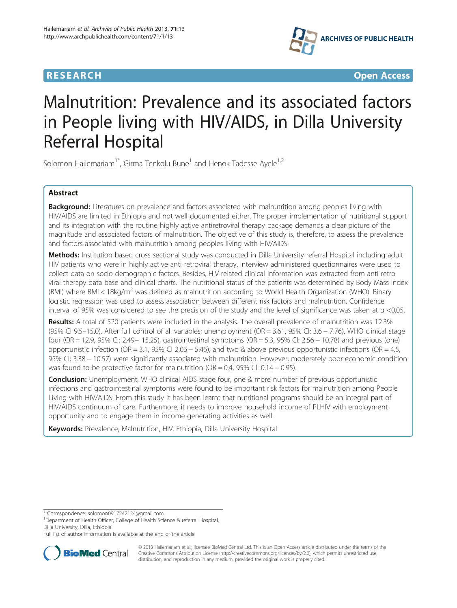



# Malnutrition: Prevalence and its associated factors in People living with HIV/AIDS, in Dilla University Referral Hospital

Solomon Hailemariam<sup>1\*</sup>, Girma Tenkolu Bune<sup>1</sup> and Henok Tadesse Ayele<sup>1,2</sup>

# Abstract

Background: Literatures on prevalence and factors associated with malnutrition among peoples living with HIV/AIDS are limited in Ethiopia and not well documented either. The proper implementation of nutritional support and its integration with the routine highly active antiretroviral therapy package demands a clear picture of the magnitude and associated factors of malnutrition. The objective of this study is, therefore, to assess the prevalence and factors associated with malnutrition among peoples living with HIV/AIDS.

Methods: Institution based cross sectional study was conducted in Dilla University referral Hospital including adult HIV patients who were in highly active anti retroviral therapy. Interview administered questionnaires were used to collect data on socio demographic factors. Besides, HIV related clinical information was extracted from anti retro viral therapy data base and clinical charts. The nutritional status of the patients was determined by Body Mass Index (BMI) where BMI < 18kg/m<sup>2</sup> was defined as malnutrition according to World Health Organization (WHO). Binary logistic regression was used to assess association between different risk factors and malnutrition. Confidence interval of 95% was considered to see the precision of the study and the level of significance was taken at α <0.05.

Results: A total of 520 patients were included in the analysis. The overall prevalence of malnutrition was 12.3% (95% CI 9.5–15.0). After full control of all variables; unemployment (OR = 3.61, 95% CI: 3.6 − 7.76), WHO clinical stage four (OR = 12.9, 95% CI: 2.49− 15.25), gastrointestinal symptoms (OR = 5.3, 95% CI: 2.56 − 10.78) and previous (one) opportunistic infection (OR = 3.1, 95% CI 2.06 − 5.46), and two & above previous opportunistic infections (OR = 4.5, 95% CI: 3.38 − 10.57) were significantly associated with malnutrition. However, moderately poor economic condition was found to be protective factor for malnutrition ( $OR = 0.4$ , 95% CI: 0.14 – 0.95).

**Conclusion:** Unemployment, WHO clinical AIDS stage four, one & more number of previous opportunistic infections and gastrointestinal symptoms were found to be important risk factors for malnutrition among People Living with HIV/AIDS. From this study it has been learnt that nutritional programs should be an integral part of HIV/AIDS continuum of care. Furthermore, it needs to improve household income of PLHIV with employment opportunity and to engage them in income generating activities as well.

Keywords: Prevalence, Malnutrition, HIV, Ethiopia, Dilla University Hospital

\* Correspondence: [solomon0917242124@gmail.com](mailto:solomon0917242124@gmail.com) <sup>1</sup>

<sup>1</sup>Department of Health Officer, College of Health Science & referral Hospital, Dilla University, Dilla, Ethiopia

Full list of author information is available at the end of the article



© 2013 Hailemariam et al.; licensee BioMed Central Ltd. This is an Open Access article distributed under the terms of the Creative Commons Attribution License (<http://creativecommons.org/licenses/by/2.0>), which permits unrestricted use, distribution, and reproduction in any medium, provided the original work is properly cited.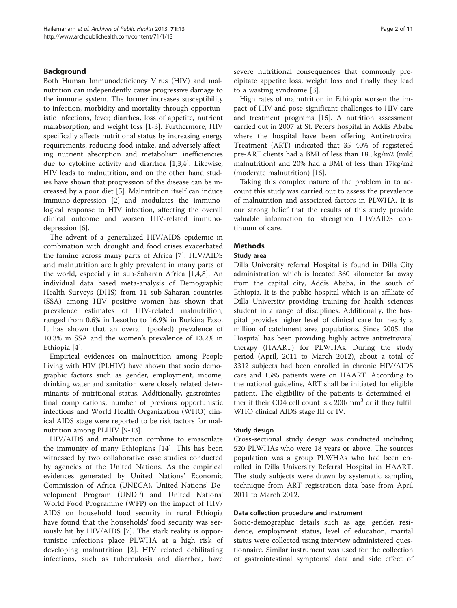## Background

Both Human Immunodeficiency Virus (HIV) and malnutrition can independently cause progressive damage to the immune system. The former increases susceptibility to infection, morbidity and mortality through opportunistic infections, fever, diarrhea, loss of appetite, nutrient malabsorption, and weight loss [[1-3](#page-10-0)]. Furthermore, HIV specifically affects nutritional status by increasing energy requirements, reducing food intake, and adversely affecting nutrient absorption and metabolism inefficiencies due to cytokine activity and diarrhea [\[1,3,4](#page-10-0)]. Likewise, HIV leads to malnutrition, and on the other hand studies have shown that progression of the disease can be increased by a poor diet [\[5](#page-10-0)]. Malnutrition itself can induce immuno-depression [\[2](#page-10-0)] and modulates the immunological response to HIV infection, affecting the overall clinical outcome and worsen HIV-related immunodepression [\[6](#page-10-0)].

The advent of a generalized HIV/AIDS epidemic in combination with drought and food crises exacerbated the famine across many parts of Africa [[7\]](#page-10-0). HIV/AIDS and malnutrition are highly prevalent in many parts of the world, especially in sub-Saharan Africa [[1,4,8](#page-10-0)]. An individual data based meta-analysis of Demographic Health Surveys (DHS) from 11 sub-Saharan countries (SSA) among HIV positive women has shown that prevalence estimates of HIV-related malnutrition, ranged from 0.6% in Lesotho to 16.9% in Burkina Faso. It has shown that an overall (pooled) prevalence of 10.3% in SSA and the women's prevalence of 13.2% in Ethiopia [\[4](#page-10-0)].

Empirical evidences on malnutrition among People Living with HIV (PLHIV) have shown that socio demographic factors such as gender, employment, income, drinking water and sanitation were closely related determinants of nutritional status. Additionally, gastrointestinal complications, number of previous opportunistic infections and World Health Organization (WHO) clinical AIDS stage were reported to be risk factors for malnutrition among PLHIV [[9](#page-10-0)-[13\]](#page-10-0).

HIV/AIDS and malnutrition combine to emasculate the immunity of many Ethiopians [[14](#page-10-0)]. This has been witnessed by two collaborative case studies conducted by agencies of the United Nations. As the empirical evidences generated by United Nations' Economic Commission of Africa (UNECA), United Nations' Development Program (UNDP) and United Nations' World Food Programme (WFP) on the impact of HIV/ AIDS on household food security in rural Ethiopia have found that the households' food security was seriously hit by HIV/AIDS [\[7](#page-10-0)]. The stark reality is opportunistic infections place PLWHA at a high risk of developing malnutrition [\[2](#page-10-0)]. HIV related debilitating infections, such as tuberculosis and diarrhea, have severe nutritional consequences that commonly precipitate appetite loss, weight loss and finally they lead to a wasting syndrome [\[3](#page-10-0)].

High rates of malnutrition in Ethiopia worsen the impact of HIV and pose significant challenges to HIV care and treatment programs [\[15](#page-10-0)]. A nutrition assessment carried out in 2007 at St. Peter's hospital in Addis Ababa where the hospital have been offering Antiretroviral Treatment (ART) indicated that 35–40% of registered pre-ART clients had a BMI of less than 18.5kg/m2 (mild malnutrition) and 20% had a BMI of less than 17kg/m2 (moderate malnutrition) [\[16](#page-10-0)].

Taking this complex nature of the problem in to account this study was carried out to assess the prevalence of malnutrition and associated factors in PLWHA. It is our strong belief that the results of this study provide valuable information to strengthen HIV/AIDS continuum of care.

# Methods

## Study area

Dilla University referral Hospital is found in Dilla City administration which is located 360 kilometer far away from the capital city, Addis Ababa, in the south of Ethiopia. It is the public hospital which is an affiliate of Dilla University providing training for health sciences student in a range of disciplines. Additionally, the hospital provides higher level of clinical care for nearly a million of catchment area populations. Since 2005, the Hospital has been providing highly active antiretroviral therapy (HAART) for PLWHAs. During the study period (April, 2011 to March 2012), about a total of 3312 subjects had been enrolled in chronic HIV/AIDS care and 1585 patients were on HAART. According to the national guideline, ART shall be initiated for eligible patient. The eligibility of the patients is determined either if their CD4 cell count is  $< 200 / \text{mm}^3$  or if they fulfill WHO clinical AIDS stage III or IV.

## Study design

Cross-sectional study design was conducted including 520 PLWHAs who were 18 years or above. The sources population was a group PLWHAs who had been enrolled in Dilla University Referral Hospital in HAART. The study subjects were drawn by systematic sampling technique from ART registration data base from April 2011 to March 2012.

## Data collection procedure and instrument

Socio-demographic details such as age, gender, residence, employment status, level of education, marital status were collected using interview administered questionnaire. Similar instrument was used for the collection of gastrointestinal symptoms' data and side effect of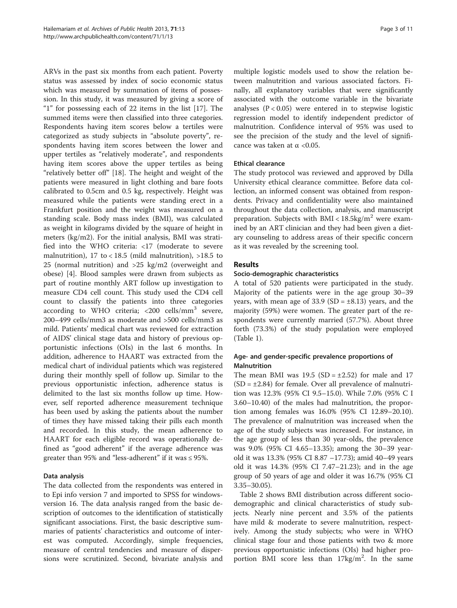ARVs in the past six months from each patient. Poverty status was assessed by index of socio economic status which was measured by summation of items of possession. In this study, it was measured by giving a score of "1" for possessing each of 22 items in the list [\[17](#page-10-0)]. The summed items were then classified into three categories. Respondents having item scores below a tertiles were categorized as study subjects in "absolute poverty", respondents having item scores between the lower and upper tertiles as "relatively moderate", and respondents having item scores above the upper tertiles as being "relatively better off" [\[18](#page-10-0)]. The height and weight of the patients were measured in light clothing and bare foots calibrated to 0.5cm and 0.5 kg, respectively. Height was measured while the patients were standing erect in a Frankfurt position and the weight was measured on a standing scale. Body mass index (BMI), was calculated as weight in kilograms divided by the square of height in meters (kg/m2). For the initial analysis, BMI was stratified into the WHO criteria: <17 (moderate to severe malnutrition),  $17 \text{ to} < 18.5 \text{ (mild malnutrition)}$ ,  $>18.5 \text{ to}$ 25 (normal nutrition) and >25 kg/m2 (overweight and obese) [[4\]](#page-10-0). Blood samples were drawn from subjects as part of routine monthly ART follow up investigation to measure CD4 cell count. This study used the CD4 cell count to classify the patients into three categories according to WHO criteria;  $\langle 200 \text{ cells/mm}^3 \text{ severe}$ , 200–499 cells/mm3 as moderate and >500 cells/mm3 as mild. Patients' medical chart was reviewed for extraction of AIDS' clinical stage data and history of previous opportunistic infections (OIs) in the last 6 months. In addition, adherence to HAART was extracted from the medical chart of individual patients which was registered during their monthly spell of follow up. Similar to the previous opportunistic infection, adherence status is delimited to the last six months follow up time. However, self reported adherence measurement technique has been used by asking the patients about the number of times they have missed taking their pills each month and recorded. In this study, the mean adherence to HAART for each eligible record was operationally defined as "good adherent" if the average adherence was greater than 95% and "less-adherent" if it was  $\leq$  95%.

# Data analysis

The data collected from the respondents was entered in to Epi info version 7 and imported to SPSS for windowsversion 16. The data analysis ranged from the basic description of outcomes to the identification of statistically significant associations. First, the basic descriptive summaries of patients' characteristics and outcome of interest was computed. Accordingly, simple frequencies, measure of central tendencies and measure of dispersions were scrutinized. Second, bivariate analysis and multiple logistic models used to show the relation between malnutrition and various associated factors. Finally, all explanatory variables that were significantly associated with the outcome variable in the bivariate analyses ( $P < 0.05$ ) were entered in to stepwise logistic regression model to identify independent predictor of malnutrition. Confidence interval of 95% was used to see the precision of the study and the level of significance was taken at  $\alpha$  <0.05.

## Ethical clearance

The study protocol was reviewed and approved by Dilla University ethical clearance committee. Before data collection, an informed consent was obtained from respondents. Privacy and confidentiality were also maintained throughout the data collection, analysis, and manuscript preparation. Subjects with  $BMI < 18.5 \text{kg/m}^2$  were examined by an ART clinician and they had been given a dietary counseling to address areas of their specific concern as it was revealed by the screening tool.

## Results

## Socio-demographic characteristics

A total of 520 patients were participated in the study. Majority of the patients were in the age group 30–39 years, with mean age of  $33.9$  (SD =  $\pm 8.13$ ) years, and the majority (59%) were women. The greater part of the respondents were currently married (57.7%). About three forth (73.3%) of the study population were employed (Table [1\)](#page-3-0).

## Age- and gender-specific prevalence proportions of Malnutrition

The mean BMI was  $19.5$  (SD =  $\pm 2.52$ ) for male and 17  $(SD = ±2.84)$  for female. Over all prevalence of malnutrition was 12.3% (95% CI 9.5–15.0). While 7.0% (95% C I 3.60–10.40) of the males had malnutrition, the proportion among females was 16.0% (95% CI 12.89–20.10). The prevalence of malnutrition was increased when the age of the study subjects was increased. For instance, in the age group of less than 30 year-olds, the prevalence was 9.0% (95% CI 4.65–13.35); among the 30–39 yearold it was 13.3% (95% CI 8.87 –17.73); amid 40–49 years old it was 14.3% (95% CI 7.47–21.23); and in the age group of 50 years of age and older it was 16.7% (95% CI 3.35–30.05).

Table [2](#page-5-0) shows BMI distribution across different sociodemographic and clinical characteristics of study subjects. Nearly nine percent and 3.5% of the patients have mild & moderate to severe malnutrition, respectively. Among the study subjects; who were in WHO clinical stage four and those patients with two & more previous opportunistic infections (OIs) had higher proportion BMI score less than  $17\text{kg/m}^2$ . In the same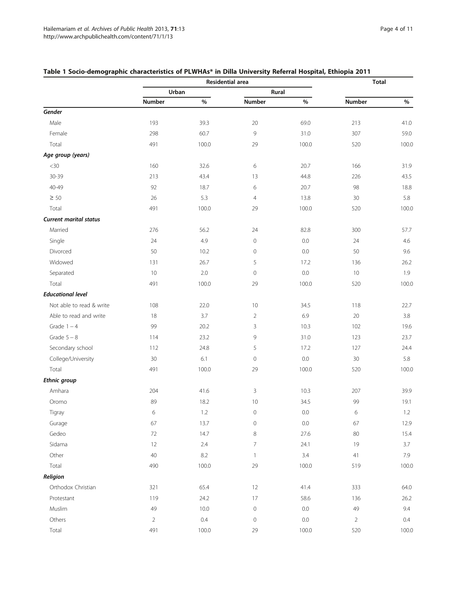|                               | Residential area |         |                     | <b>Total</b> |                |       |
|-------------------------------|------------------|---------|---------------------|--------------|----------------|-------|
|                               | Urban            |         | Rural               |              |                |       |
|                               | Number           | $\%$    | Number              | $\%$         | Number         | $\%$  |
| Gender                        |                  |         |                     |              |                |       |
| Male                          | 193              | 39.3    | 20                  | 69.0         | 213            | 41.0  |
| Female                        | 298              | 60.7    | 9                   | 31.0         | 307            | 59.0  |
| Total                         | 491              | 100.0   | 29                  | 100.0        | 520            | 100.0 |
| Age group (years)             |                  |         |                     |              |                |       |
| $<$ 30                        | 160              | 32.6    | 6                   | 20.7         | 166            | 31.9  |
| 30-39                         | 213              | 43.4    | 13                  | 44.8         | 226            | 43.5  |
| 40-49                         | 92               | 18.7    | $\,$ 6 $\,$         | 20.7         | 98             | 18.8  |
| $\geq 50$                     | 26               | 5.3     | $\overline{4}$      | 13.8         | 30             | 5.8   |
| Total                         | 491              | 100.0   | 29                  | 100.0        | 520            | 100.0 |
| <b>Current marital status</b> |                  |         |                     |              |                |       |
| Married                       | 276              | 56.2    | 24                  | 82.8         | 300            | 57.7  |
| Single                        | 24               | 4.9     | $\circ$             | 0.0          | 24             | 4.6   |
| Divorced                      | 50               | 10.2    | $\mathsf{O}\xspace$ | $0.0\,$      | 50             | 9.6   |
| Widowed                       | 131              | 26.7    | 5                   | 17.2         | 136            | 26.2  |
| Separated                     | 10               | 2.0     | $\circ$             | $0.0\,$      | 10             | 1.9   |
| Total                         | 491              | 100.0   | 29                  | 100.0        | 520            | 100.0 |
| <b>Educational level</b>      |                  |         |                     |              |                |       |
| Not able to read & write      | 108              | 22.0    | 10                  | 34.5         | 118            | 22.7  |
| Able to read and write        | 18               | 3.7     | $\overline{2}$      | 6.9          | 20             | 3.8   |
| Grade $1 - 4$                 | 99               | 20.2    | 3                   | 10.3         | 102            | 19.6  |
| Grade $5 - 8$                 | 114              | 23.2    | 9                   | 31.0         | 123            | 23.7  |
| Secondary school              | 112              | 24.8    | 5                   | 17.2         | 127            | 24.4  |
| College/University            | 30               | 6.1     | $\circ$             | 0.0          | 30             | 5.8   |
| Total                         | 491              | 100.0   | 29                  | 100.0        | 520            | 100.0 |
| <b>Ethnic group</b>           |                  |         |                     |              |                |       |
| Amhara                        | 204              | 41.6    | 3                   | 10.3         | 207            | 39.9  |
| Oromo                         | 89               | 18.2    | 10                  | 34.5         | 99             | 19.1  |
| Tigray                        | 6                | 1.2     | $\circ$             | 0.0          | 6              | 1.2   |
| Gurage                        | 67               | 13.7    | 0                   | 0.0          | 67             | 12.9  |
| Gedeo                         | $72\,$           | 14.7    | 8                   | 27.6         | 80             | 15.4  |
| Sidama                        | 12               | $2.4\,$ | $\overline{7}$      | 24.1         | 19             | 3.7   |
| Other                         | 40               | $8.2\,$ | $\mathbf{1}$        | 3.4          | $41$           | 7.9   |
| Total                         | 490              | 100.0   | 29                  | 100.0        | 519            | 100.0 |
| Religion                      |                  |         |                     |              |                |       |
| Orthodox Christian            | 321              | 65.4    | 12                  | 41.4         | 333            | 64.0  |
| Protestant                    | 119              | 24.2    | 17                  | 58.6         | 136            | 26.2  |
| Muslim                        | 49               | 10.0    | $\mathbb O$         | $0.0\,$      | 49             | 9.4   |
| Others                        | $\overline{2}$   | $0.4\,$ | $\circ$             | $0.0\,$      | $\overline{2}$ | 0.4   |
| Total                         | 491              | 100.0   | 29                  | 100.0        | 520            | 100.0 |

# <span id="page-3-0"></span>Table 1 Socio-demographic characteristics of PLWHAs\* in Dilla University Referral Hospital, Ethiopia 2011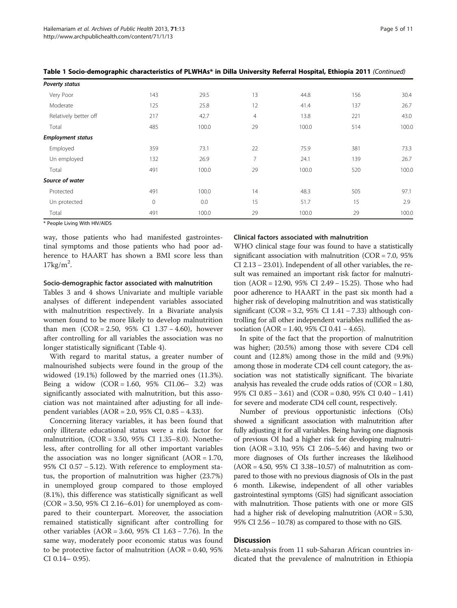| Poverty status           |         |       |                |       |     |       |
|--------------------------|---------|-------|----------------|-------|-----|-------|
| Very Poor                | 143     | 29.5  | 13             | 44.8  | 156 | 30.4  |
| Moderate                 | 125     | 25.8  | 12             | 41.4  | 137 | 26.7  |
| Relatively better off    | 217     | 42.7  | $\overline{4}$ | 13.8  | 221 | 43.0  |
| Total                    | 485     | 100.0 | 29             | 100.0 | 514 | 100.0 |
| <b>Employment status</b> |         |       |                |       |     |       |
| Employed                 | 359     | 73.1  | 22             | 75.9  | 381 | 73.3  |
| Un employed              | 132     | 26.9  | 7              | 24.1  | 139 | 26.7  |
| Total                    | 491     | 100.0 | 29             | 100.0 | 520 | 100.0 |
| Source of water          |         |       |                |       |     |       |
| Protected                | 491     | 100.0 | 14             | 48.3  | 505 | 97.1  |
| Un protected             | $\circ$ | 0.0   | 15             | 51.7  | 15  | 2.9   |
| Total                    | 491     | 100.0 | 29             | 100.0 | 29  | 100.0 |

Table 1 Socio-demographic characteristics of PLWHAs\* in Dilla University Referral Hospital, Ethiopia 2011 (Continued)

\* People Living With HIV/AIDS

way, those patients who had manifested gastrointestinal symptoms and those patients who had poor adherence to HAART has shown a BMI score less than  $17\text{kg/m}^2$ .

## Socio-demographic factor associated with malnutrition

Tables [3](#page-7-0) and [4](#page-9-0) shows Univariate and multiple variable analyses of different independent variables associated with malnutrition respectively. In a Bivariate analysis women found to be more likely to develop malnutrition than men (COR = 2.50, 95% CI 1.37 − 4.60), however after controlling for all variables the association was no longer statistically significant (Table [4](#page-9-0)).

With regard to marital status, a greater number of malnourished subjects were found in the group of the widowed (19.1%) followed by the married ones (11.3%). Being a widow (COR = 1.60, 95% CI1.06– 3.2) was significantly associated with malnutrition, but this association was not maintained after adjusting for all independent variables (AOR = 2.0, 95% CI, 0.85 − 4.33).

Concerning literacy variables, it has been found that only illiterate educational status were a risk factor for malnutrition, (COR = 3.50, 95% CI 1.35–8.0). Nonetheless, after controlling for all other important variables the association was no longer significant  $(AOR = 1.70,$ 95% CI 0.57 − 5.12). With reference to employment status, the proportion of malnutrition was higher (23.7%) in unemployed group compared to those employed (8.1%), this difference was statistically significant as well (COR = 3.50, 95% CI 2.16–6.01) for unemployed as compared to their counterpart. Moreover, the association remained statistically significant after controlling for other variables (AOR = 3.60, 95% CI 1.63 − 7.76). In the same way, moderately poor economic status was found to be protective factor of malnutrition  $(AOR = 0.40, 95\%)$ CI 0.14– 0.95).

#### Clinical factors associated with malnutrition

WHO clinical stage four was found to have a statistically significant association with malnutrition  $(COR = 7.0, 95\%)$ CI 2.13 − 23.01). Independent of all other variables, the result was remained an important risk factor for malnutrition (AOR = 12.90, 95% CI 2.49 − 15.25). Those who had poor adherence to HAART in the past six month had a higher risk of developing malnutrition and was statistically significant (COR = 3.2, 95% CI 1.41 − 7.33) although controlling for all other independent variables nullified the association (AOR = 1.40, 95% CI 0.41 − 4.65).

In spite of the fact that the proportion of malnutrition was higher; (20.5%) among those with severe CD4 cell count and (12.8%) among those in the mild and (9.9%) among those in moderate CD4 cell count category, the association was not statistically significant. The bivariate analysis has revealed the crude odds ratios of (COR = 1.80, 95% CI 0.85 − 3.61) and (COR = 0.80, 95% CI 0.40 − 1.41) for severe and moderate CD4 cell count, respectively.

Number of previous opportunistic infections (OIs) showed a significant association with malnutrition after fully adjusting it for all variables. Being having one diagnosis of previous OI had a higher risk for developing malnutrition (AOR = 3.10, 95% CI 2.06–5.46) and having two or more diagnoses of OIs further increases the likelihood (AOR = 4.50, 95% CI 3.38–10.57) of malnutrition as compared to those with no previous diagnosis of OIs in the past 6 month. Likewise, independent of all other variables gastrointestinal symptoms (GIS) had significant association with malnutrition. Those patients with one or more GIS had a higher risk of developing malnutrition (AOR = 5.30, 95% CI 2.56 − 10.78) as compared to those with no GIS.

## Discussion

Meta-analysis from 11 sub-Saharan African countries indicated that the prevalence of malnutrition in Ethiopia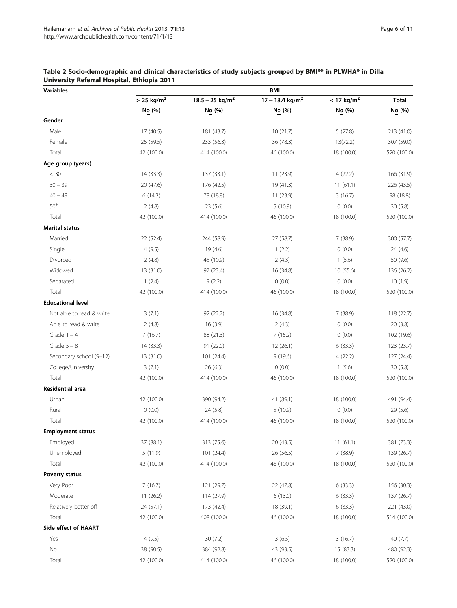| <b>Variables</b>         | <b>BMI</b>               |                               |                               |                          |              |  |  |  |
|--------------------------|--------------------------|-------------------------------|-------------------------------|--------------------------|--------------|--|--|--|
|                          | $>$ 25 kg/m <sup>2</sup> | $18.5 - 25$ kg/m <sup>2</sup> | $17 - 18.4$ kg/m <sup>2</sup> | $<$ 17 kg/m <sup>2</sup> | <b>Total</b> |  |  |  |
|                          | No (%)                   | No (%)                        | No (%)                        | No (%)                   | No (%)       |  |  |  |
| Gender                   |                          |                               |                               |                          |              |  |  |  |
| Male                     | 17 (40.5)                | 181 (43.7)                    | 10(21.7)                      | 5(27.8)                  | 213 (41.0)   |  |  |  |
| Female                   | 25 (59.5)                | 233 (56.3)                    | 36 (78.3)                     | 13(72.2)                 | 307 (59.0)   |  |  |  |
| Total                    | 42 (100.0)               | 414 (100.0)                   | 46 (100.0)                    | 18 (100.0)               | 520 (100.0)  |  |  |  |
| Age group (years)        |                          |                               |                               |                          |              |  |  |  |
| < 30                     | 14 (33.3)                | 137 (33.1)                    | 11 (23.9)                     | 4(22.2)                  | 166 (31.9)   |  |  |  |
| $30 - 39$                | 20 (47.6)                | 176 (42.5)                    | 19 (41.3)                     | 11(61.1)                 | 226 (43.5)   |  |  |  |
| $40 - 49$                | 6(14.3)                  | 78 (18.8)                     | 11(23.9)                      | 3(16.7)                  | 98 (18.8)    |  |  |  |
| $50^+$                   | 2(4.8)                   | 23 (5.6)                      | 5(10.9)                       | 0(0.0)                   | 30 (5.8)     |  |  |  |
| Total                    | 42 (100.0)               | 414 (100.0)                   | 46 (100.0)                    | 18 (100.0)               | 520 (100.0)  |  |  |  |
| <b>Marital status</b>    |                          |                               |                               |                          |              |  |  |  |
| Married                  | 22 (52.4)                | 244 (58.9)                    | 27 (58.7)                     | 7(38.9)                  | 300 (57.7)   |  |  |  |
| Single                   | 4(9.5)                   | 19 (4.6)                      | 1(2.2)                        | 0(0.0)                   | 24 (4.6)     |  |  |  |
| Divorced                 | 2(4.8)                   | 45 (10.9)                     | 2(4.3)                        | 1(5.6)                   | 50 (9.6)     |  |  |  |
| Widowed                  | 13 (31.0)                | 97 (23.4)                     | 16 (34.8)                     | 10 (55.6)                | 136 (26.2)   |  |  |  |
| Separated                | 1(2.4)                   | 9(2.2)                        | 0(0.0)                        | 0(0.0)                   | 10(1.9)      |  |  |  |
| Total                    | 42 (100.0)               | 414 (100.0)                   | 46 (100.0)                    | 18 (100.0)               | 520 (100.0)  |  |  |  |
| <b>Educational level</b> |                          |                               |                               |                          |              |  |  |  |
| Not able to read & write | 3(7.1)                   | 92 (22.2)                     | 16 (34.8)                     | 7 (38.9)                 | 118 (22.7)   |  |  |  |
| Able to read & write     | 2(4.8)                   | 16(3.9)                       | 2(4.3)                        | 0(0.0)                   | 20(3.8)      |  |  |  |
| Grade $1 - 4$            | 7(16.7)                  | 88 (21.3)                     | 7(15.2)                       | 0(0.0)                   | 102 (19.6)   |  |  |  |
| Grade $5 - 8$            | 14 (33.3)                | 91 (22.0)                     | 12 (26.1)                     | 6(33.3)                  | 123 (23.7)   |  |  |  |
| Secondary school (9-12)  | 13 (31.0)                | 101 (24.4)                    | 9(19.6)                       | 4(22.2)                  | 127 (24.4)   |  |  |  |
| College/University       | 3(7.1)                   | 26 (6.3)                      | 0(0.0)                        | 1(5.6)                   | 30 (5.8)     |  |  |  |
| Total                    | 42 (100.0)               | 414 (100.0)                   | 46 (100.0)                    | 18 (100.0)               | 520 (100.0)  |  |  |  |
| Residential area         |                          |                               |                               |                          |              |  |  |  |
| Urban                    | 42 (100.0)               | 390 (94.2)                    | 41 (89.1)                     | 18 (100.0)               | 491 (94.4)   |  |  |  |
| Rural                    | 0(0.0)                   | 24 (5.8)                      | 5(10.9)                       | 0(0.0)                   | 29 (5.6)     |  |  |  |
| Total                    | 42 (100.0)               | 414 (100.0)                   | 46 (100.0)                    | 18 (100.0)               | 520 (100.0)  |  |  |  |
| <b>Employment status</b> |                          |                               |                               |                          |              |  |  |  |
| Employed                 | 37 (88.1)                | 313 (75.6)                    | 20 (43.5)                     | 11(61.1)                 | 381 (73.3)   |  |  |  |
| Unemployed               | 5(11.9)                  | 101(24.4)                     | 26 (56.5)                     | 7(38.9)                  | 139 (26.7)   |  |  |  |
| Total                    | 42 (100.0)               | 414 (100.0)                   | 46 (100.0)                    | 18 (100.0)               | 520 (100.0)  |  |  |  |
| Poverty status           |                          |                               |                               |                          |              |  |  |  |
| Very Poor                | 7(16.7)                  | 121 (29.7)                    | 22 (47.8)                     | 6(33.3)                  | 156 (30.3)   |  |  |  |
| Moderate                 | 11(26.2)                 | 114 (27.9)                    | 6(13.0)                       | 6(33.3)                  | 137 (26.7)   |  |  |  |
| Relatively better off    | 24 (57.1)                | 173 (42.4)                    | 18 (39.1)                     | 6(33.3)                  | 221 (43.0)   |  |  |  |
| Total                    | 42 (100.0)               | 408 (100.0)                   | 46 (100.0)                    | 18 (100.0)               | 514 (100.0)  |  |  |  |
| Side effect of HAART     |                          |                               |                               |                          |              |  |  |  |
| Yes                      | 4(9.5)                   | 30 (7.2)                      | 3(6.5)                        | 3(16.7)                  | 40 (7.7)     |  |  |  |
| No                       | 38 (90.5)                | 384 (92.8)                    | 43 (93.5)                     | 15 (83.3)                | 480 (92.3)   |  |  |  |
| Total                    | 42 (100.0)               | 414 (100.0)                   | 46 (100.0)                    | 18 (100.0)               | 520 (100.0)  |  |  |  |

# <span id="page-5-0"></span>Table 2 Socio-demographic and clinical characteristics of study subjects grouped by BMI\*\* in PLWHA\* in Dilla University Referral Hospital, Ethiopia 2011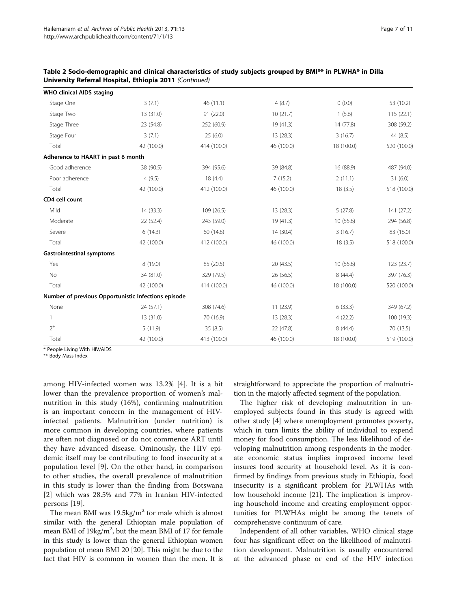| <b>WHO clinical AIDS staging</b>                    |            |             |            |            |             |
|-----------------------------------------------------|------------|-------------|------------|------------|-------------|
| Stage One                                           | 3(7.1)     | 46(11.1)    | 4(8.7)     | 0(0.0)     | 53 (10.2)   |
| Stage Two                                           | 13 (31.0)  | 91 (22.0)   | 10(21.7)   | 1(5.6)     | 115(22.1)   |
| Stage Three                                         | 23 (54.8)  | 252 (60.9)  | 19 (41.3)  | 14 (77.8)  | 308 (59.2)  |
| Stage Four                                          | 3(7.1)     | 25(6.0)     | 13 (28.3)  | 3(16.7)    | 44 (8.5)    |
| Total                                               | 42 (100.0) | 414 (100.0) | 46 (100.0) | 18 (100.0) | 520 (100.0) |
| Adherence to HAART in past 6 month                  |            |             |            |            |             |
| Good adherence                                      | 38 (90.5)  | 394 (95.6)  | 39 (84.8)  | 16 (88.9)  | 487 (94.0)  |
| Poor adherence                                      | 4(9.5)     | 18(4.4)     | 7(15.2)    | 2(11.1)    | 31(6.0)     |
| Total                                               | 42 (100.0) | 412 (100.0) | 46 (100.0) | 18(3.5)    | 518 (100.0) |
| CD4 cell count                                      |            |             |            |            |             |
| Mild                                                | 14 (33.3)  | 109 (26.5)  | 13 (28.3)  | 5(27.8)    | 141 (27.2)  |
| Moderate                                            | 22 (52.4)  | 243 (59.0)  | 19 (41.3)  | 10 (55.6)  | 294 (56.8)  |
| Severe                                              | 6(14.3)    | 60 (14.6)   | 14(30.4)   | 3(16.7)    | 83 (16.0)   |
| Total                                               | 42 (100.0) | 412 (100.0) | 46 (100.0) | 18(3.5)    | 518 (100.0) |
| <b>Gastrointestinal symptoms</b>                    |            |             |            |            |             |
| Yes                                                 | 8 (19.0)   | 85 (20.5)   | 20 (43.5)  | 10(55.6)   | 123 (23.7)  |
| No                                                  | 34 (81.0)  | 329 (79.5)  | 26 (56.5)  | 8 (44.4)   | 397 (76.3)  |
| Total                                               | 42 (100.0) | 414 (100.0) | 46 (100.0) | 18 (100.0) | 520 (100.0) |
| Number of previous Opportunistic Infections episode |            |             |            |            |             |
| None                                                | 24 (57.1)  | 308 (74.6)  | 11(23.9)   | 6(33.3)    | 349 (67.2)  |
|                                                     | 13 (31.0)  | 70 (16.9)   | 13(28.3)   | 4(22.2)    | 100 (19.3)  |
| $2^+$                                               | 5(11.9)    | 35(8.5)     | 22 (47.8)  | 8 (44.4)   | 70 (13.5)   |
| Total                                               | 42 (100.0) | 413 (100.0) | 46 (100.0) | 18 (100.0) | 519 (100.0) |

Table 2 Socio-demographic and clinical characteristics of study subjects grouped by BMI\*\* in PLWHA\* in Dilla University Referral Hospital, Ethiopia 2011 (Continued)

\* People Living With HIV/AIDS

\*\* Body Mass Index

among HIV-infected women was 13.2% [\[4](#page-10-0)]. It is a bit lower than the prevalence proportion of women's malnutrition in this study (16%), confirming malnutrition is an important concern in the management of HIVinfected patients. Malnutrition (under nutrition) is more common in developing countries, where patients are often not diagnosed or do not commence ART until they have advanced disease. Ominously, the HIV epidemic itself may be contributing to food insecurity at a population level [[9\]](#page-10-0). On the other hand, in comparison to other studies, the overall prevalence of malnutrition in this study is lower than the finding from Botswana [[2\]](#page-10-0) which was 28.5% and 77% in Iranian HIV-infected persons [[19\]](#page-10-0).

The mean BMI was  $19.5\text{kg/m}^2$  for male which is almost similar with the general Ethiopian male population of mean BMI of  $19\text{kg/m}^2$ , but the mean BMI of 17 for female in this study is lower than the general Ethiopian women population of mean BMI 20 [[20](#page-10-0)]. This might be due to the fact that HIV is common in women than the men. It is straightforward to appreciate the proportion of malnutrition in the majorly affected segment of the population.

The higher risk of developing malnutrition in unemployed subjects found in this study is agreed with other study [[4](#page-10-0)] where unemployment promotes poverty, which in turn limits the ability of individual to expend money for food consumption. The less likelihood of developing malnutrition among respondents in the moderate economic status implies improved income level insures food security at household level. As it is confirmed by findings from previous study in Ethiopia, food insecurity is a significant problem for PLWHAs with low household income [\[21](#page-10-0)]. The implication is improving household income and creating employment opportunities for PLWHAs might be among the tenets of comprehensive continuum of care.

Independent of all other variables, WHO clinical stage four has significant effect on the likelihood of malnutrition development. Malnutrition is usually encountered at the advanced phase or end of the HIV infection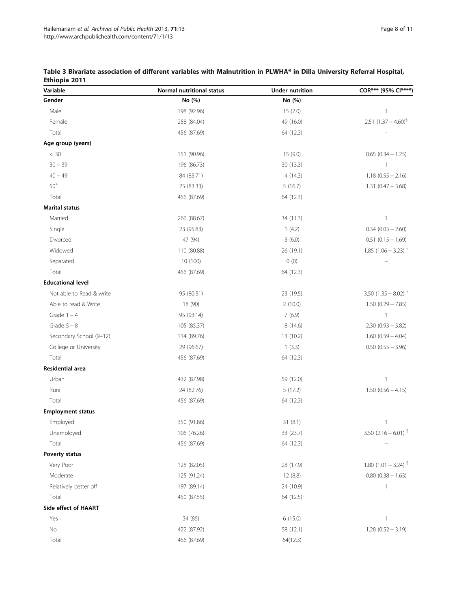| Variable                 | Normal nutritional status | <b>Under nutrition</b> | COR*** (95% CI****)               |
|--------------------------|---------------------------|------------------------|-----------------------------------|
| Gender                   | No (%)                    | No (%)                 |                                   |
| Male                     | 198 (92.96)               | 15(7.0)                | $\mathbf{1}$                      |
| Female                   | 258 (84.04)               | 49 (16.0)              | 2.51 $(1.37 - 4.60)^{6}$          |
| Total                    | 456 (87.69)               | 64 (12.3)              |                                   |
| Age group (years)        |                           |                        |                                   |
| $< 30$                   | 151 (90.96)               | 15 (9.0)               | $0.65(0.34 - 1.25)$               |
| $30 - 39$                | 196 (86.73)               | 30 (13.3)              | $\mathbf{1}$                      |
| $40 - 49$                | 84 (85.71)                | 14 (14.3)              | $1.18(0.55 - 2.16)$               |
| $50^+$                   | 25 (83.33)                | 5(16.7)                | $1.31 (0.47 - 3.68)$              |
| Total                    | 456 (87.69)               | 64 (12.3)              |                                   |
| <b>Marital status</b>    |                           |                        |                                   |
| Married                  | 266 (88.67)               | 34 (11.3)              | 1                                 |
| Single                   | 23 (95.83)                | 1(4.2)                 | $0.34$ (0.05 - 2.60)              |
| Divorced                 | 47 (94)                   | 3(6.0)                 | $0.51(0.15 - 1.69)$               |
| Widowed                  | 110 (80.88)               | 26 (19.1)              | 1.85 $(1.06 - 3.23)^{9}$          |
| Separated                | 10 (100)                  | 0(0)                   |                                   |
| Total                    | 456 (87.69)               | 64 (12.3)              |                                   |
| <b>Educational level</b> |                           |                        |                                   |
| Not able to Read & write | 95 (80.51)                | 23 (19.5)              | 3.50 $(1.35 - 8.02)^{6}$          |
| Able to read & Write     | 18 (90)                   | 2(10.0)                | $1.50(0.29 - 7.85)$               |
| Grade $1 - 4$            | 95 (93.14)                | 7(6.9)                 | $\mathbf{1}$                      |
| Grade $5 - 8$            | 105 (85.37)               | 18 (14.6)              | $2.30(0.93 - 5.82)$               |
| Secondary School (9-12)  | 114 (89.76)               | 13 (10.2)              | $1.60(0.59 - 4.04)$               |
| College or University    | 29 (96.67)                | 1(3.3)                 | $0.50$ $(0.55 - 3.96)$            |
| Total                    | 456 (87.69)               | 64 (12.3)              |                                   |
| Residential area         |                           |                        |                                   |
| Urban                    | 432 (87.98)               | 59 (12.0)              | 1                                 |
| Rural                    | 24 (82.76)                | 5(17.2)                | $1.50(0.56 - 4.15)$               |
| Total                    | 456 (87.69)               | 64 (12.3)              |                                   |
| <b>Employment status</b> |                           |                        |                                   |
| Employed                 | 350 (91.86)               | 31(8.1)                | $\mathbf{1}$                      |
| Unemployed               | 106 (76.26)               | 33 (23.7)              | 3.50 $(2.16 - 6.01)^{5}$          |
| Total                    | 456 (87.69)               | 64 (12.3)              |                                   |
| Poverty status           |                           |                        |                                   |
| Very Poor                | 128 (82.05)               | 28 (17.9)              | 1.80 $(1.01 - 3.24)$ <sup>§</sup> |
| Moderate                 | 125 (91.24)               | 12 (8.8)               | $0.80(0.38 - 1.63)$               |
| Relatively better off    | 197 (89.14)               | 24 (10.9)              | $\mathbf{1}$                      |
| Total                    | 450 (87.55)               | 64 (12.5)              |                                   |
| Side effect of HAART     |                           |                        |                                   |
| Yes                      | 34 (85)                   | 6(15.0)                | $\mathbf{1}$                      |
| No                       | 422 (87.92)               | 58 (12.1)              | $1.28(0.52 - 3.19)$               |
| Total                    | 456 (87.69)               | 64(12.3)               |                                   |

<span id="page-7-0"></span>

| Table 3 Bivariate association of different variables with Malnutrition in PLWHA* in Dilla University Referral Hospital, |  |  |  |  |  |
|-------------------------------------------------------------------------------------------------------------------------|--|--|--|--|--|
| Ethiopia 2011                                                                                                           |  |  |  |  |  |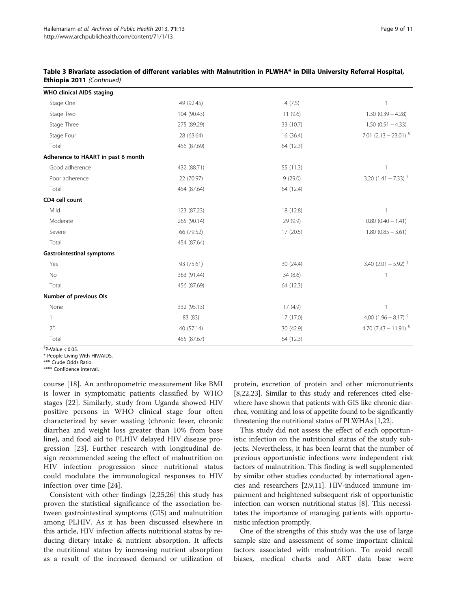| <b>WHO clinical AIDS staging</b>   |             |           |                           |
|------------------------------------|-------------|-----------|---------------------------|
| Stage One                          | 49 (92.45)  | 4(7.5)    | 1                         |
| Stage Two                          | 104 (90.43) | 11(9.6)   | $1.30(0.39 - 4.28)$       |
| Stage Three                        | 275 (89.29) | 33 (10.7) | $1.50(0.51 - 4.33)$       |
| Stage Four                         | 28 (63.64)  | 16 (36.4) | 7.01 $(2.13 - 23.01)^{6}$ |
| Total                              | 456 (87.69) | 64 (12.3) |                           |
| Adherence to HAART in past 6 month |             |           |                           |
| Good adherence                     | 432 (88.71) | 55 (11.3) |                           |
| Poor adherence                     | 22 (70.97)  | 9(29.0)   | 3.20 $(1.41 - 7.33)^{9}$  |
| Total                              | 454 (87.64) | 64 (12.4) |                           |
| CD4 cell count                     |             |           |                           |
| Mild                               | 123 (87.23) | 18 (12.8) | $\mathbf{1}$              |
| Moderate                           | 265 (90.14) | 29 (9.9)  | $0.80(0.40 - 1.41)$       |
| Severe                             | 66 (79.52)  | 17 (20.5) | $1.80(0.85 - 3.61)$       |
| Total                              | 454 (87.64) |           |                           |
| <b>Gastrointestinal symptoms</b>   |             |           |                           |
| Yes                                | 93 (75.61)  | 30 (24.4) | 3.40 $(2.01 - 5.92)^{9}$  |
| <b>No</b>                          | 363 (91.44) | 34(8.6)   | $\mathbf{1}$              |
| Total                              | 456 (87.69) | 64 (12.3) |                           |
| Number of previous Ols             |             |           |                           |
| None                               | 332 (95.13) | 17(4.9)   | 1                         |
|                                    | 83 (83)     | 17 (17.0) | 4.00 $(1.96 - 8.17)^{9}$  |
| $2^+$                              | 40 (57.14)  | 30 (42.9) | 4.70 $(7.43 - 11.91)^{9}$ |
| Total                              | 455 (87.67) | 64 (12.3) |                           |

## Table 3 Bivariate association of different variables with Malnutrition in PLWHA\* in Dilla University Referral Hospital, Ethiopia 2011 (Continued)

 ${}^{6}$ P-Value < 0.05.

\* People Living With HIV/AIDS.

\*\*\* Crude Odds Ratio.

\*\*\*\* Confidence interval.

course [[18\]](#page-10-0). An anthropometric measurement like BMI is lower in symptomatic patients classified by WHO stages [[22\]](#page-10-0). Similarly, study from Uganda showed HIV positive persons in WHO clinical stage four often characterized by sever wasting (chronic fever, chronic diarrhea and weight loss greater than 10% from base line), and food aid to PLHIV delayed HIV disease progression [[23\]](#page-10-0). Further research with longitudinal design recommended seeing the effect of malnutrition on HIV infection progression since nutritional status could modulate the immunological responses to HIV infection over time [[24\]](#page-10-0).

Consistent with other findings [[2,25](#page-10-0),[26](#page-10-0)] this study has proven the statistical significance of the association between gastrointestinal symptoms (GIS) and malnutrition among PLHIV. As it has been discussed elsewhere in this article, HIV infection affects nutritional status by reducing dietary intake & nutrient absorption. It affects the nutritional status by increasing nutrient absorption as a result of the increased demand or utilization of protein, excretion of protein and other micronutrients [[8,22,23\]](#page-10-0). Similar to this study and references cited elsewhere have shown that patients with GIS like chronic diarrhea, vomiting and loss of appetite found to be significantly threatening the nutritional status of PLWHAs [[1,22](#page-10-0)].

This study did not assess the effect of each opportunistic infection on the nutritional status of the study subjects. Nevertheless, it has been learnt that the number of previous opportunistic infections were independent risk factors of malnutrition. This finding is well supplemented by similar other studies conducted by international agencies and researchers [\[2,9,11\]](#page-10-0). HIV-induced immune impairment and heightened subsequent risk of opportunistic infection can worsen nutritional status [\[8\]](#page-10-0). This necessitates the importance of managing patients with opportunistic infection promptly.

One of the strengths of this study was the use of large sample size and assessment of some important clinical factors associated with malnutrition. To avoid recall biases, medical charts and ART data base were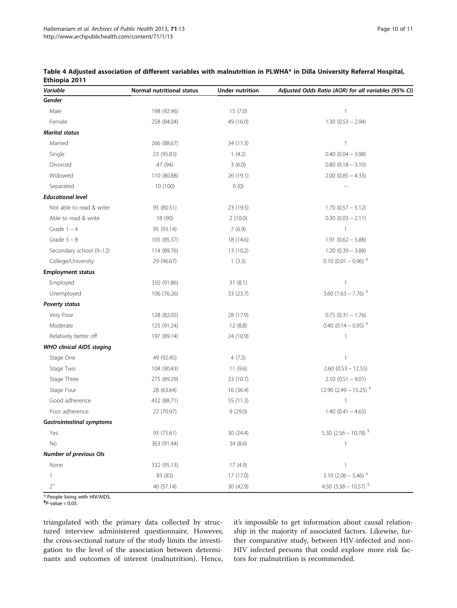| Variable                         | Normal nutritional status | <b>Under nutrition</b> | Adjusted Odds Ratio (AOR) for all variables (95% CI) |
|----------------------------------|---------------------------|------------------------|------------------------------------------------------|
| Gender                           |                           |                        |                                                      |
| Male                             | 198 (92.96)               | 15(7.0)                | $\mathbf{1}$                                         |
| Female                           | 258 (84.04)               | 49 (16.0)              | $1.30(0.53 - 2.94)$                                  |
| <b>Marital status</b>            |                           |                        |                                                      |
| Married                          | 266 (88.67)               | 34 (11.3)              | $\mathbf{1}$                                         |
| Single                           | 23 (95.83)                | 1(4.2)                 | $0.40$ $(0.04 - 3.98)$                               |
| Divorced                         | 47 (94)                   | 3(6.0)                 | $0.80$ $(0.18 - 3.10)$                               |
| Widowed                          | 110 (80.88)               | 26 (19.1)              | $2.00$ (0.85 - 4.33)                                 |
| Separated                        | 10 (100)                  | 0(0)                   |                                                      |
| <b>Educational level</b>         |                           |                        |                                                      |
| Not able to read & write         | 95 (80.51)                | 23 (19.5)              | $1.70(0.57 - 5.12)$                                  |
| Able to read & write             | 18 (90)                   | 2(10.0)                | $0.30(0.03 - 2.11)$                                  |
| Grade $1 - 4$                    | 95 (93.14)                | 7(6.9)                 | $\mathbf{1}$                                         |
| Grade $5 - 8$                    | 105 (85.37)               | 18 (14.6)              | $1.91 (0.62 - 5.88)$                                 |
| Secondary school (9-12)          | 114 (89.76)               | 13 (10.2)              | $1.20(0.39 - 3.88)$                                  |
| College/University               | 29 (96.67)                | 1(3.3)                 | $0.10$ (0.01 - 0.96) <sup>§</sup>                    |
| <b>Employment status</b>         |                           |                        |                                                      |
| Employed                         | 350 (91.86)               | 31(8.1)                | 1                                                    |
| Unemployed                       | 106 (76.26)               | 33 (23.7)              | 3.60 $(1.63 - 7.76)^{9}$                             |
| Poverty status                   |                           |                        |                                                      |
| Very Poor                        | 128 (82.05)               | 28 (17.9)              | $0.75$ $(0.31 - 1.76)$                               |
| Moderate                         | 125 (91.24)               | 12 (8.8)               | 0.40 $(0.14 - 0.95)^{5}$                             |
| Relatively better off            | 197 (89.14)               | 24 (10.9)              | $\overline{\phantom{a}}$                             |
| <b>WHO clinical AIDS staging</b> |                           |                        |                                                      |
| Stage One                        | 49 (92.45)                | 4(7.5)                 | $\mathbf{1}$                                         |
| Stage Two                        | 104 (90.43)               | 11(9.6)                | $2.60(0.53 - 12.55)$                                 |
| Stage Three                      | 275 (89.29)               | 33 (10.7)              | $2.10(0.51 - 9.01)$                                  |
| Stage Four                       | 28 (63.64)                | 16 (36.4)              | 12.90 $(2.49 - 15.25)^{9}$                           |
| Good adherence                   | 432 (88.71)               | 55 (11.3)              | $\overline{1}$                                       |
| Poor adherence                   | 22 (70.97)                | 9(29.0)                | $1.40(0.41 - 4.65)$                                  |
| <b>Gastrointestinal symptoms</b> |                           |                        |                                                      |
| Yes                              | 93 (75.61)                | 30 (24.4)              | 5.30 (2.56 - 10.78) $\frac{6}{3}$                    |
| No                               | 363 (91.44)               | 34 (8.6)               |                                                      |
| <b>Number of previous Ols</b>    |                           |                        |                                                      |
| None                             | 332 (95.13)               | 17 (4.9)               | 1                                                    |
| $\mathbf{1}$                     | 83 (83)                   | 17 (17.0)              | 3.10 $(2.06 - 5.46)^{6}$                             |
| $2^+$                            | 40 (57.14)                | 30 (42.9)              | 4.50 $(3.38 - 10.57)^{9}$                            |

<span id="page-9-0"></span>

| Table 4 Adjusted association of different variables with malnutrition in PLWHA* in Dilla University Referral Hospital, |  |  |
|------------------------------------------------------------------------------------------------------------------------|--|--|
| Ethiopia 2011                                                                                                          |  |  |

\* People living with HIV/AIDS.

 ${}^{6}P$ -value < 0.05.

triangulated with the primary data collected by structured interview administered questionnaire. However, the cross-sectional nature of the study limits the investigation to the level of the association between determinants and outcomes of interest (malnutrition). Hence, it's impossible to get information about causal relationship in the majority of associated factors. Likewise, further comparative study, between HIV-infected and non-HIV infected persons that could explore more risk factors for malnutrition is recommended.